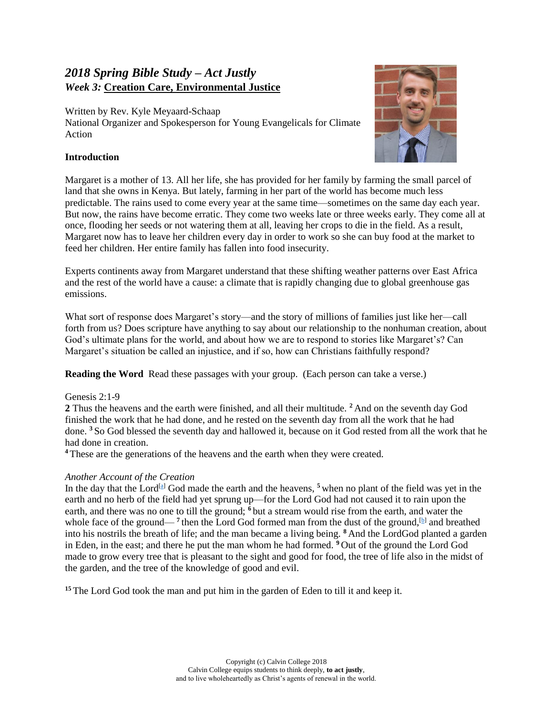# *2018 Spring Bible Study – Act Justly Week 3:* **Creation Care, Environmental Justice**

Written by Rev. Kyle Meyaard-Schaap National Organizer and Spokesperson for Young Evangelicals for Climate Action



# **Introduction**

Margaret is a mother of 13. All her life, she has provided for her family by farming the small parcel of land that she owns in Kenya. But lately, farming in her part of the world has become much less predictable. The rains used to come every year at the same time—sometimes on the same day each year. But now, the rains have become erratic. They come two weeks late or three weeks early. They come all at once, flooding her seeds or not watering them at all, leaving her crops to die in the field. As a result, Margaret now has to leave her children every day in order to work so she can buy food at the market to feed her children. Her entire family has fallen into food insecurity.

Experts continents away from Margaret understand that these shifting weather patterns over East Africa and the rest of the world have a cause: a climate that is rapidly changing due to global greenhouse gas emissions.

What sort of response does Margaret's story—and the story of millions of families just like her—call forth from us? Does scripture have anything to say about our relationship to the nonhuman creation, about God's ultimate plans for the world, and about how we are to respond to stories like Margaret's? Can Margaret's situation be called an injustice, and if so, how can Christians faithfully respond?

**Reading the Word** Read these passages with your group. (Each person can take a verse.)

# Genesis 2:1-9

**2** Thus the heavens and the earth were finished, and all their multitude. **<sup>2</sup>** And on the seventh day God finished the work that he had done, and he rested on the seventh day from all the work that he had done. **<sup>3</sup>** So God blessed the seventh day and hallowed it, because on it God rested from all the work that he had done in creation.

**<sup>4</sup>** These are the generations of the heavens and the earth when they were created.

# *Another Account of the Creation*

In the day that the Lord<sup>[\[a\]](https://www.biblegateway.com/passage/?search=Genesis+2%3A+1-9%2C+15&version=NRSV#fen-NRSV-35a)</sup> God made the earth and the heavens,  $5$  when no plant of the field was yet in the earth and no herb of the field had yet sprung up—for the Lord God had not caused it to rain upon the earth, and there was no one to till the ground; **<sup>6</sup>** but a stream would rise from the earth, and water the whole face of the ground—<sup>7</sup> then the Lord God formed man from the dust of the ground, **b** and breathed into his nostrils the breath of life; and the man became a living being. **<sup>8</sup>** And the LordGod planted a garden in Eden, in the east; and there he put the man whom he had formed. **<sup>9</sup>** Out of the ground the Lord God made to grow every tree that is pleasant to the sight and good for food, the tree of life also in the midst of the garden, and the tree of the knowledge of good and evil.

<sup>15</sup> The Lord God took the man and put him in the garden of Eden to till it and keep it.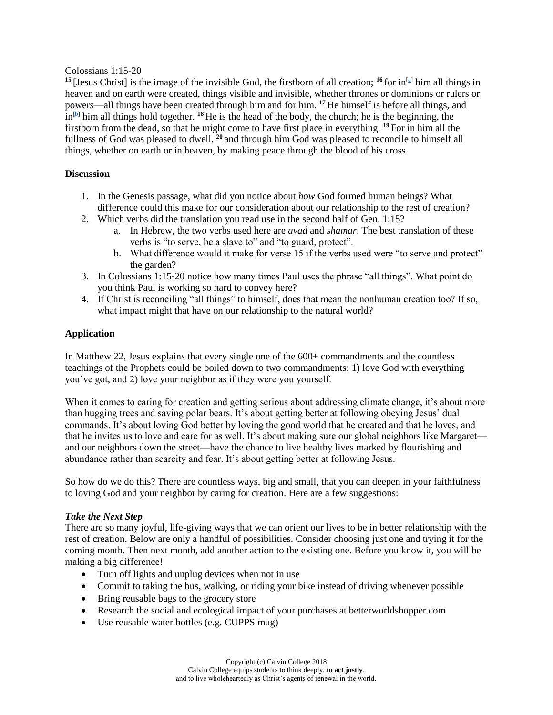#### Colossians 1:15-20

<sup>15</sup> [Jesus Christ] is the image of the invisible God, the firstborn of all creation; <sup>16</sup> for in<sup>[\[a\]](https://www.biblegateway.com/passage/?search=Colossians+1%3A15-20&version=NRSV#fen-NRSV-29465a)</sup> him all things in heaven and on earth were created, things visible and invisible, whether thrones or dominions or rulers or powers—all things have been created through him and for him. **<sup>17</sup>** He himself is before all things, and  $\ln^{[b]}$  $\ln^{[b]}$  $\ln^{[b]}$  him all things hold together. <sup>18</sup> He is the head of the body, the church; he is the beginning, the firstborn from the dead, so that he might come to have first place in everything. **<sup>19</sup>** For in him all the fullness of God was pleased to dwell, **<sup>20</sup>** and through him God was pleased to reconcile to himself all things, whether on earth or in heaven, by making peace through the blood of his cross.

#### **Discussion**

- 1. In the Genesis passage, what did you notice about *how* God formed human beings? What difference could this make for our consideration about our relationship to the rest of creation?
- 2. Which verbs did the translation you read use in the second half of Gen. 1:15?
	- a. In Hebrew, the two verbs used here are *avad* and *shamar*. The best translation of these verbs is "to serve, be a slave to" and "to guard, protect".
	- b. What difference would it make for verse 15 if the verbs used were "to serve and protect" the garden?
- 3. In Colossians 1:15-20 notice how many times Paul uses the phrase "all things". What point do you think Paul is working so hard to convey here?
- 4. If Christ is reconciling "all things" to himself, does that mean the nonhuman creation too? If so, what impact might that have on our relationship to the natural world?

#### **Application**

In Matthew 22, Jesus explains that every single one of the 600+ commandments and the countless teachings of the Prophets could be boiled down to two commandments: 1) love God with everything you've got, and 2) love your neighbor as if they were you yourself.

When it comes to caring for creation and getting serious about addressing climate change, it's about more than hugging trees and saving polar bears. It's about getting better at following obeying Jesus' dual commands. It's about loving God better by loving the good world that he created and that he loves, and that he invites us to love and care for as well. It's about making sure our global neighbors like Margaret and our neighbors down the street—have the chance to live healthy lives marked by flourishing and abundance rather than scarcity and fear. It's about getting better at following Jesus.

So how do we do this? There are countless ways, big and small, that you can deepen in your faithfulness to loving God and your neighbor by caring for creation. Here are a few suggestions:

#### *Take the Next Step*

There are so many joyful, life-giving ways that we can orient our lives to be in better relationship with the rest of creation. Below are only a handful of possibilities. Consider choosing just one and trying it for the coming month. Then next month, add another action to the existing one. Before you know it, you will be making a big difference!

- Turn off lights and unplug devices when not in use
- Commit to taking the bus, walking, or riding your bike instead of driving whenever possible
- Bring reusable bags to the grocery store
- Research the social and ecological impact of your purchases at betterworldshopper.com
- Use reusable water bottles (e.g. CUPPS mug)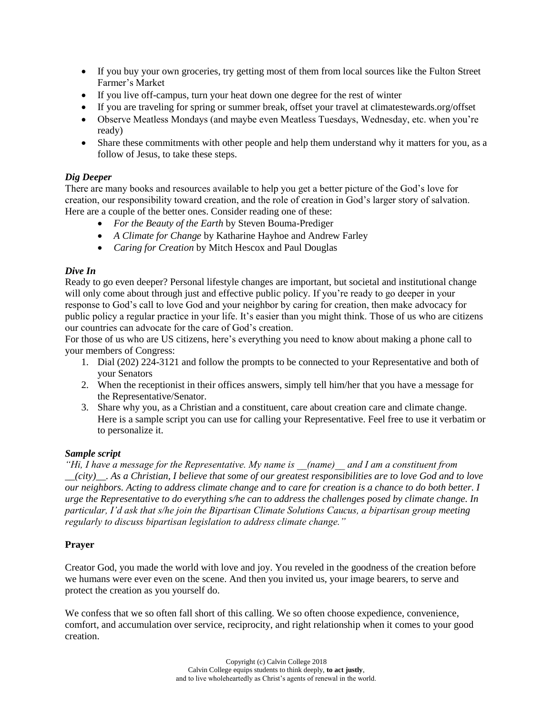- If you buy your own groceries, try getting most of them from local sources like the Fulton Street Farmer's Market
- If you live off-campus, turn your heat down one degree for the rest of winter
- If you are traveling for spring or summer break, offset your travel at climatestewards.org/offset
- Observe Meatless Mondays (and maybe even Meatless Tuesdays, Wednesday, etc. when you're ready)
- Share these commitments with other people and help them understand why it matters for you, as a follow of Jesus, to take these steps.

## *Dig Deeper*

There are many books and resources available to help you get a better picture of the God's love for creation, our responsibility toward creation, and the role of creation in God's larger story of salvation. Here are a couple of the better ones. Consider reading one of these:

- *For the Beauty of the Earth* by Steven Bouma-Prediger
- *A Climate for Change* by Katharine Hayhoe and Andrew Farley
- *Caring for Creation* by Mitch Hescox and Paul Douglas

## *Dive In*

Ready to go even deeper? Personal lifestyle changes are important, but societal and institutional change will only come about through just and effective public policy. If you're ready to go deeper in your response to God's call to love God and your neighbor by caring for creation, then make advocacy for public policy a regular practice in your life. It's easier than you might think. Those of us who are citizens our countries can advocate for the care of God's creation.

For those of us who are US citizens, here's everything you need to know about making a phone call to your members of Congress:

- 1. Dial (202) 224-3121 and follow the prompts to be connected to your Representative and both of your Senators
- 2. When the receptionist in their offices answers, simply tell him/her that you have a message for the Representative/Senator.
- 3. Share why you, as a Christian and a constituent, care about creation care and climate change. Here is a sample script you can use for calling your Representative. Feel free to use it verbatim or to personalize it.

#### *Sample script*

*"Hi, I have a message for the Representative. My name is \_\_(name)\_\_ and I am a constituent from \_\_(city)\_\_. As a Christian, I believe that some of our greatest responsibilities are to love God and to love our neighbors. Acting to address climate change and to care for creation is a chance to do both better. I urge the Representative to do everything s/he can to address the challenges posed by climate change. In particular, I'd ask that s/he join the Bipartisan Climate Solutions Caucus, a bipartisan group meeting regularly to discuss bipartisan legislation to address climate change."*

#### **Prayer**

Creator God, you made the world with love and joy. You reveled in the goodness of the creation before we humans were ever even on the scene. And then you invited us, your image bearers, to serve and protect the creation as you yourself do.

We confess that we so often fall short of this calling. We so often choose expedience, convenience, comfort, and accumulation over service, reciprocity, and right relationship when it comes to your good creation.